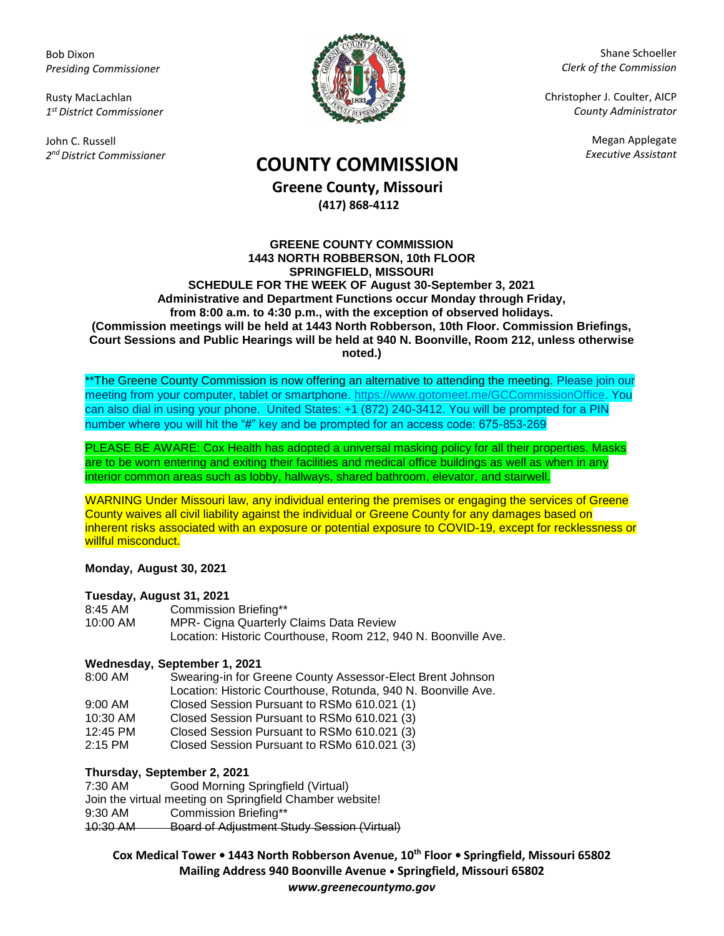Bob Dixon *Presiding Commissioner*

Rusty MacLachlan *1 st District Commissioner*

John C. Russell *2 nd District Commissioner*



Shane Schoeller *Clerk of the Commission*

Christopher J. Coulter, AICP *County Administrator*

Megan Applegate

# *Executive Assistant* **COUNTY COMMISSION**

**Greene County, Missouri (417) 868-4112**

#### **GREENE COUNTY COMMISSION 1443 NORTH ROBBERSON, 10th FLOOR SPRINGFIELD, MISSOURI SCHEDULE FOR THE WEEK OF August 30-September 3, 2021 Administrative and Department Functions occur Monday through Friday, from 8:00 a.m. to 4:30 p.m., with the exception of observed holidays. (Commission meetings will be held at 1443 North Robberson, 10th Floor. Commission Briefings, Court Sessions and Public Hearings will be held at 940 N. Boonville, Room 212, unless otherwise noted.)**

\*\*The Greene County Commission is now offering an alternative to attending the meeting. Please join our meeting from your computer, tablet or smartphone. [https://www.gotomeet.me/GCCommissionOffice.](https://www.gotomeet.me/GCCommissionOffice) You can also dial in using your phone. United States: +1 (872) 240-3412. You will be prompted for a PIN number where you will hit the "#" key and be prompted for an access code: 675-853-269

PLEASE BE AWARE: Cox Health has adopted a universal masking policy for all their properties. Masks are to be worn entering and exiting their facilities and medical office buildings as well as when in any interior common areas such as lobby, hallways, shared bathroom, elevator, and stairwell.

WARNING Under Missouri law, any individual entering the premises or engaging the services of Greene County waives all civil liability against the individual or Greene County for any damages based on inherent risks associated with an exposure or potential exposure to COVID-19, except for recklessness or willful misconduct.

**Monday, August 30, 2021**

## **Tuesday, August 31, 2021**

8:45 AM Commission Briefing\*\* 10:00 AM MPR- Cigna Quarterly Claims Data Review Location: Historic Courthouse, Room 212, 940 N. Boonville Ave.

## **Wednesday, September 1, 2021**

8:00 AM Swearing-in for Greene County Assessor-Elect Brent Johnson Location: Historic Courthouse, Rotunda, 940 N. Boonville Ave.

- 9:00 AM Closed Session Pursuant to RSMo 610.021 (1)
- 10:30 AM Closed Session Pursuant to RSMo 610.021 (3)
- 12:45 PM Closed Session Pursuant to RSMo 610.021 (3)

2:15 PM Closed Session Pursuant to RSMo 610.021 (3)

## **Thursday, September 2, 2021**

7:30 AM Good Morning Springfield (Virtual) Join the virtual meeting on Springfield Chamber website! 9:30 AM Commission Briefing\*\* 10:30 AM Board of Adjustment Study Session (Virtual)

**Cox Medical Tower • 1443 North Robberson Avenue, 10th Floor • Springfield, Missouri 65802 Mailing Address 940 Boonville Avenue • Springfield, Missouri 65802** *www.greenecountymo.gov*